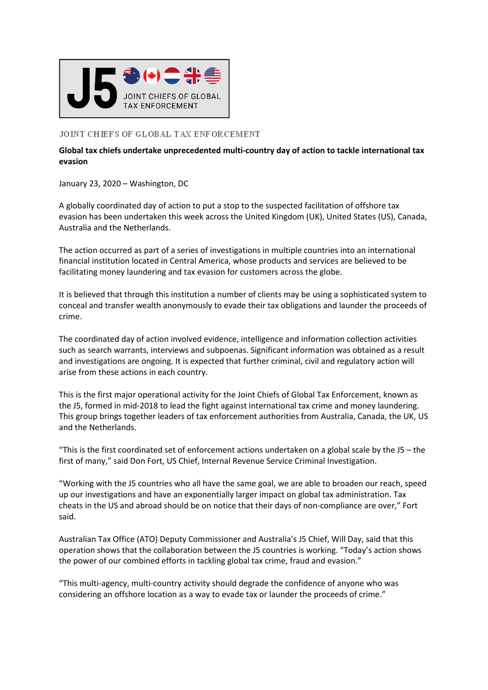

## JOINT CHIEFS OF GLOBAL TAX ENFORCEMENT

## **Global tax chiefs undertake unprecedented multi-country day of action to tackle international tax evasion**

January 23, 2020 – Washington, DC

A globally coordinated day of action to put a stop to the suspected facilitation of offshore tax evasion has been undertaken this week across the United Kingdom (UK), United States (US), Canada, Australia and the Netherlands.

The action occurred as part of a series of investigations in multiple countries into an international financial institution located in Central America, whose products and services are believed to be facilitating money laundering and tax evasion for customers across the globe.

It is believed that through this institution a number of clients may be using a sophisticated system to conceal and transfer wealth anonymously to evade their tax obligations and launder the proceeds of crime.

The coordinated day of action involved evidence, intelligence and information collection activities such as search warrants, interviews and subpoenas. Significant information was obtained as a result and investigations are ongoing. It is expected that further criminal, civil and regulatory action will arise from these actions in each country.

This is the first major operational activity for the Joint Chiefs of Global Tax Enforcement, known as the J5, formed in mid-2018 to lead the fight against international tax crime and money laundering. This group brings together leaders of tax enforcement authorities from Australia, Canada, the UK, US and the Netherlands.

"This is the first coordinated set of enforcement actions undertaken on a global scale by the J5 – the first of many," said Don Fort, US Chief, Internal Revenue Service Criminal Investigation.

"Working with the J5 countries who all have the same goal, we are able to broaden our reach, speed up our investigations and have an exponentially larger impact on global tax administration. Tax cheats in the US and abroad should be on notice that their days of non-compliance are over," Fort said.

Australian Tax Office (ATO) Deputy Commissioner and Australia's J5 Chief, Will Day, said that this operation shows that the collaboration between the J5 countries is working. "Today's action shows the power of our combined efforts in tackling global tax crime, fraud and evasion."

"This multi-agency, multi-country activity should degrade the confidence of anyone who was considering an offshore location as a way to evade tax or launder the proceeds of crime."